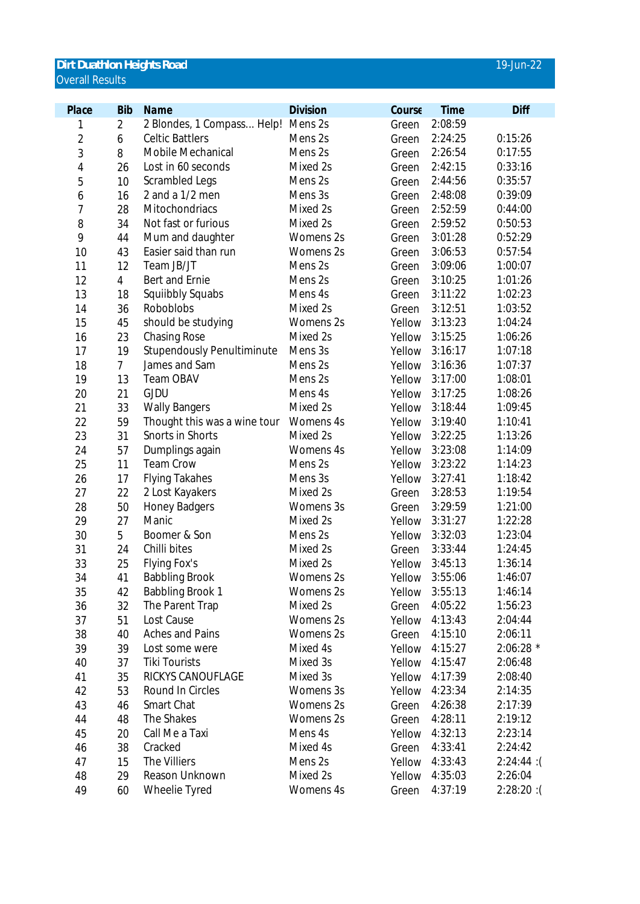## **Dirt Duathlon Heights Road** 19-Jun-22 Overall Results

| Place          | <b>Bib</b>     | Name                              | <b>Division</b> | Course | <b>Time</b>    | Diff      |
|----------------|----------------|-----------------------------------|-----------------|--------|----------------|-----------|
| 1              | 2              | 2 Blondes, 1 Compass Help!        | Mens 2s         | Green  | 2:08:59        |           |
| $\overline{2}$ | 6              | <b>Celtic Battlers</b>            | Mens 2s         | Green  | 2:24:25        | 0:15:26   |
| 3              | 8              | Mobile Mechanical                 | Mens 2s         | Green  | 2:26:54        | 0:17:55   |
| 4              | 26             | Lost in 60 seconds                | Mixed 2s        | Green  | 2:42:15        | 0:33:16   |
| 5              | 10             | Scrambled Legs                    | Mens 2s         | Green  | 2:44:56        | 0:35:57   |
| 6              | 16             | 2 and a 1/2 men                   | Mens 3s         | Green  | 2:48:08        | 0:39:09   |
| $\overline{1}$ | 28             | Mitochondriacs                    | Mixed 2s        | Green  | 2:52:59        | 0:44:00   |
| 8              | 34             | Not fast or furious               | Mixed 2s        | Green  | 2:59:52        | 0:50:53   |
| 9              | 44             | Mum and daughter                  | Womens 2s       | Green  | 3:01:28        | 0:52:29   |
| 10             | 43             | Easier said than run              | Womens 2s       | Green  | 3:06:53        | 0:57:54   |
| 11             | 12             | Team JB/JT                        | Mens 2s         | Green  | 3:09:06        | 1:00:07   |
| 12             | 4              | Bert and Ernie                    | Mens 2s         | Green  | 3:10:25        | 1:01:26   |
| 13             | 18             | Squiibbly Squabs                  | Mens 4s         | Green  | 3:11:22        | 1:02:23   |
| 14             | 36             | Roboblobs                         | Mixed 2s        | Green  | 3:12:51        | 1:03:52   |
| 15             | 45             | should be studying                | Womens 2s       | Yellow | 3:13:23        | 1:04:24   |
| 16             | 23             | <b>Chasing Rose</b>               | Mixed 2s        | Yellow | 3:15:25        | 1:06:26   |
| 17             | 19             | <b>Stupendously Penultiminute</b> | Mens 3s         | Yellow | 3:16:17        | 1:07:18   |
| 18             | $\overline{7}$ | James and Sam                     | Mens 2s         | Yellow | 3:16:36        | 1:07:37   |
| 19             | 13             | Team OBAV                         | Mens 2s         | Yellow | 3:17:00        | 1:08:01   |
| 20             | 21             | <b>GJDU</b>                       | Mens 4s         | Yellow | 3:17:25        | 1:08:26   |
| 21             | 33             | <b>Wally Bangers</b>              | Mixed 2s        | Yellow | 3:18:44        | 1:09:45   |
| 22             | 59             | Thought this was a wine tour      | Womens 4s       | Yellow | 3:19:40        | 1:10:41   |
| 23             | 31             | Snorts in Shorts                  | Mixed 2s        | Yellow | 3:22:25        | 1:13:26   |
| 24             | 57             | Dumplings again                   | Womens 4s       | Yellow | 3:23:08        | 1:14:09   |
| 25             | 11             | <b>Team Crow</b>                  | Mens 2s         | Yellow | 3:23:22        | 1:14:23   |
| 26             | 17             | <b>Flying Takahes</b>             | Mens 3s         | Yellow | 3:27:41        | 1:18:42   |
| 27             | 22             | 2 Lost Kayakers                   | Mixed 2s        | Green  | 3:28:53        | 1:19:54   |
| 28             | 50             | <b>Honey Badgers</b>              | Womens 3s       | Green  | 3:29:59        | 1:21:00   |
| 29             | 27             | Manic                             | Mixed 2s        | Yellow | 3:31:27        | 1:22:28   |
| 30             | 5              | Boomer & Son                      | Mens 2s         | Yellow | 3:32:03        | 1:23:04   |
| 31             | 24             | Chilli bites                      | Mixed 2s        | Green  | 3:33:44        | 1:24:45   |
| 33             | 25             | Flying Fox's                      | Mixed 2s        | Yellow | 3:45:13        | 1:36:14   |
| 34             | 41             | <b>Babbling Brook</b>             | Womens 2s       | Yellow | 3:55:06        | 1:46:07   |
| 35             | 42             | <b>Babbling Brook 1</b>           | Womens 2s       |        | Yellow 3:55:13 | 1:46:14   |
| 36             | 32             | The Parent Trap                   | Mixed 2s        | Green  | 4:05:22        | 1:56:23   |
| 37             | 51             | Lost Cause                        | Womens 2s       | Yellow | 4:13:43        | 2:04:44   |
| 38             | 40             | <b>Aches and Pains</b>            | Womens 2s       | Green  | 4:15:10        | 2:06:11   |
| 39             | 39             | Lost some were                    | Mixed 4s        | Yellow | 4:15:27        | 2:06:28 * |
| 40             | 37             | <b>Tiki Tourists</b>              | Mixed 3s        | Yellow | 4:15:47        | 2:06:48   |
| 41             | 35             | RICKYS CANOUFLAGE                 | Mixed 3s        | Yellow | 4:17:39        | 2:08:40   |
| 42             | 53             | Round In Circles                  | Womens 3s       | Yellow | 4:23:34        | 2:14:35   |
| 43             | 46             | Smart Chat                        | Womens 2s       | Green  | 4:26:38        | 2:17:39   |
| 44             | 48             | The Shakes                        | Womens 2s       | Green  | 4:28:11        | 2:19:12   |
| 45             | 20             | Call Me a Taxi                    | Mens 4s         | Yellow | 4:32:13        | 2:23:14   |
| 46             | 38             | Cracked                           | Mixed 4s        | Green  | 4:33:41        | 2:24:42   |
| 47             | 15             | The Villiers                      | Mens 2s         | Yellow | 4:33:43        | 2:24:44:  |
| 48             | 29             | Reason Unknown                    | Mixed 2s        | Yellow | 4:35:03        | 2:26:04   |
| 49             | 60             | Wheelie Tyred                     | Womens 4s       | Green  | 4:37:19        | 2:28:20:  |
|                |                |                                   |                 |        |                |           |